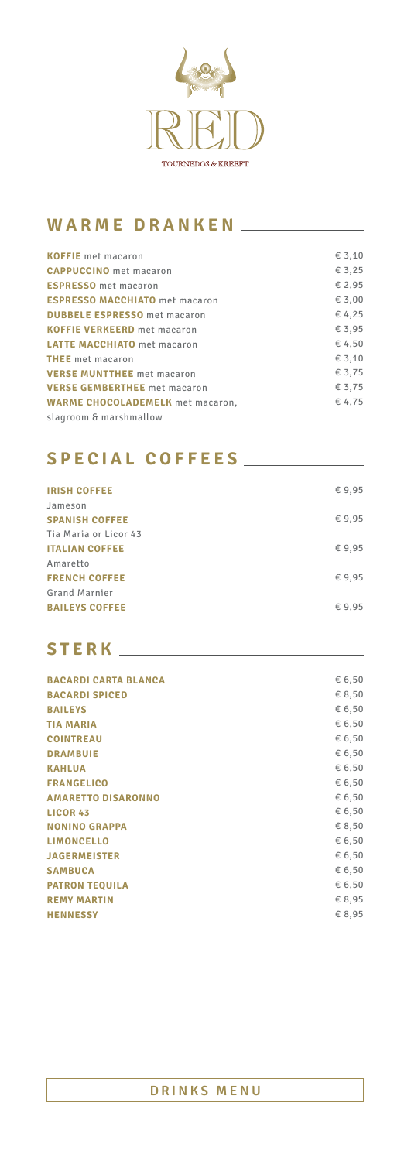

## **WARME DRANKEN**

| <b>ESPRESSO</b> met macaron<br><b>ESPRESSO MACCHIATO</b> met macaron                                                                                                                                                                                                                                                         |                           |                 |
|------------------------------------------------------------------------------------------------------------------------------------------------------------------------------------------------------------------------------------------------------------------------------------------------------------------------------|---------------------------|-----------------|
| <b>CAPPUCCINO</b> met macaron<br><b>DUBBELE ESPRESSO</b> met macaron<br><b>KOFFIE VERKEERD</b> met macaron<br><b>LATTE MACCHIATO</b> met macaron<br><b>THEE</b> met macaron<br><b>VERSE MUNTTHEE</b> met macaron<br><b>VERSE GEMBERTHEE</b> met macaron<br><b>WARME CHOCOLADEMELK</b> met macaron,<br>slagroom & marshmallow | <b>KOFFIE</b> met macaron | $\epsilon$ 3,10 |
|                                                                                                                                                                                                                                                                                                                              |                           | € 3,25          |
|                                                                                                                                                                                                                                                                                                                              |                           | € 2,95          |
|                                                                                                                                                                                                                                                                                                                              |                           | $\epsilon$ 3,00 |
|                                                                                                                                                                                                                                                                                                                              |                           | € 4,25          |
|                                                                                                                                                                                                                                                                                                                              |                           | $\epsilon$ 3.95 |
|                                                                                                                                                                                                                                                                                                                              |                           | € 4,50          |
|                                                                                                                                                                                                                                                                                                                              |                           | $\epsilon$ 3,10 |
|                                                                                                                                                                                                                                                                                                                              |                           | € 3,75          |
|                                                                                                                                                                                                                                                                                                                              |                           | € 3,75          |
|                                                                                                                                                                                                                                                                                                                              |                           | € 4,75          |
|                                                                                                                                                                                                                                                                                                                              |                           |                 |

| <b>IRISH COFFEE</b>   | €9,95  |
|-----------------------|--------|
| Jameson               |        |
| <b>SPANISH COFFEE</b> | € 9,95 |
| Tia Maria or Licor 43 |        |
| <b>ITALIAN COFFEE</b> | €9,95  |
| Amaretto              |        |
| <b>FRENCH COFFEE</b>  | €9,95  |
| <b>Grand Marnier</b>  |        |
| <b>BAILEYS COFFEE</b> | € 9,95 |
|                       |        |

| <b>BACARDI CARTA BLANCA</b> | € 6,50 |
|-----------------------------|--------|
| <b>BACARDI SPICED</b>       | € 8,50 |
| <b>BAILEYS</b>              | € 6,50 |
| <b>TIA MARIA</b>            | € 6,50 |
| <b>COINTREAU</b>            | € 6,50 |
| <b>DRAMBUIE</b>             | € 6,50 |
| <b>KAHLUA</b>               | € 6,50 |
| <b>FRANGELICO</b>           | € 6,50 |
| <b>AMARETTO DISARONNO</b>   | € 6,50 |
| <b>LICOR 43</b>             | € 6,50 |
| <b>NONINO GRAPPA</b>        | € 8,50 |
| <b>LIMONCELLO</b>           | € 6,50 |
| <b>JAGERMEISTER</b>         | € 6,50 |
| <b>SAMBUCA</b>              | € 6,50 |
|                             |        |

## **SPECIAL COFFEES**

| <b>PATRON TEQUILA</b> | € 6.50 |
|-----------------------|--------|
| <b>REMY MARTIN</b>    | € 8.95 |
| <b>HENNESSY</b>       | € 8.95 |

# **STERK**

#### **DRINKS MENU**